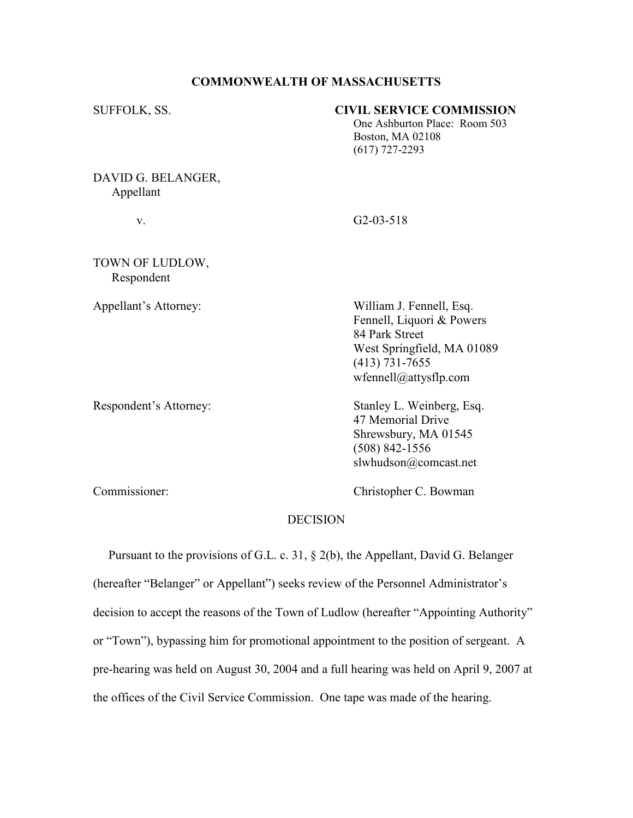#### COMMONWEALTH OF MASSACHUSETTS

| SUFFOLK, SS.                    | <b>CIVIL SERVICE COMMISSION</b><br>One Ashburton Place: Room 503<br>Boston, MA 02108<br>$(617)$ 727-2293 |
|---------------------------------|----------------------------------------------------------------------------------------------------------|
| DAVID G. BELANGER,<br>Appellant |                                                                                                          |
| V.                              | $G2-03-518$                                                                                              |
| TOWN OF LUDLOW,<br>Respondent   |                                                                                                          |
| Appellant's Attorney:           | William J. Fennell, Esq.<br>Fennell, Liquori & Powers<br>84 Park Street                                  |

 wfennell@attysflp.com Respondent's Attorney: Stanley L. Weinberg, Esq. 47 Memorial Drive Shrewsbury, MA 01545

West Springfield, MA 01089

(413) 731-7655

(508) 842-1556

Commissioner: Christopher C. Bowman

slwhudson@comcast.net

# **DECISION**

 Pursuant to the provisions of G.L. c. 31, § 2(b), the Appellant, David G. Belanger (hereafter "Belanger" or Appellant") seeks review of the Personnel Administrator's decision to accept the reasons of the Town of Ludlow (hereafter "Appointing Authority" or "Town"), bypassing him for promotional appointment to the position of sergeant. A pre-hearing was held on August 30, 2004 and a full hearing was held on April 9, 2007 at the offices of the Civil Service Commission. One tape was made of the hearing.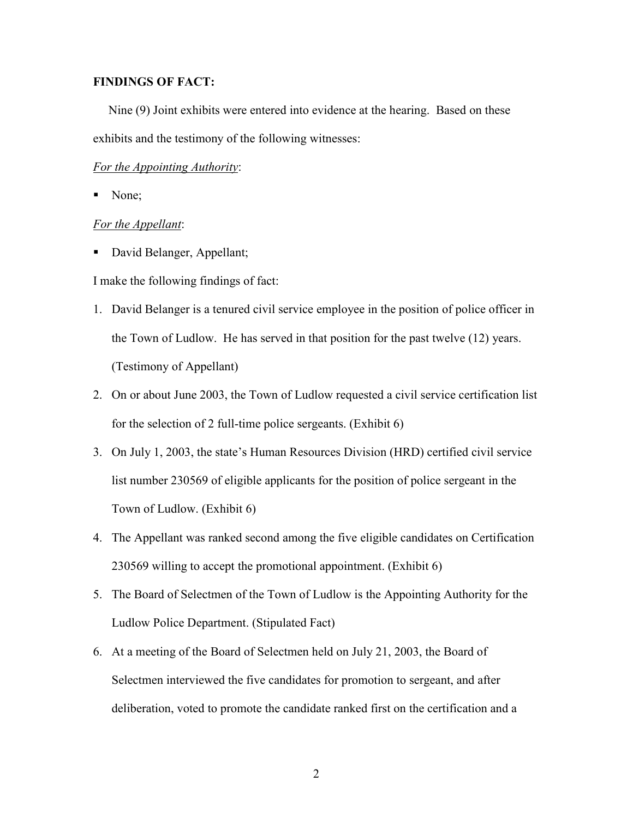## FINDINGS OF FACT:

 Nine (9) Joint exhibits were entered into evidence at the hearing. Based on these exhibits and the testimony of the following witnesses:

#### For the Appointing Authority:

• None;

### For the Appellant:

■ David Belanger, Appellant;

I make the following findings of fact:

- 1. David Belanger is a tenured civil service employee in the position of police officer in the Town of Ludlow. He has served in that position for the past twelve (12) years. (Testimony of Appellant)
- 2. On or about June 2003, the Town of Ludlow requested a civil service certification list for the selection of 2 full-time police sergeants. (Exhibit 6)
- 3. On July 1, 2003, the state's Human Resources Division (HRD) certified civil service list number 230569 of eligible applicants for the position of police sergeant in the Town of Ludlow. (Exhibit 6)
- 4. The Appellant was ranked second among the five eligible candidates on Certification 230569 willing to accept the promotional appointment. (Exhibit 6)
- 5. The Board of Selectmen of the Town of Ludlow is the Appointing Authority for the Ludlow Police Department. (Stipulated Fact)
- 6. At a meeting of the Board of Selectmen held on July 21, 2003, the Board of Selectmen interviewed the five candidates for promotion to sergeant, and after deliberation, voted to promote the candidate ranked first on the certification and a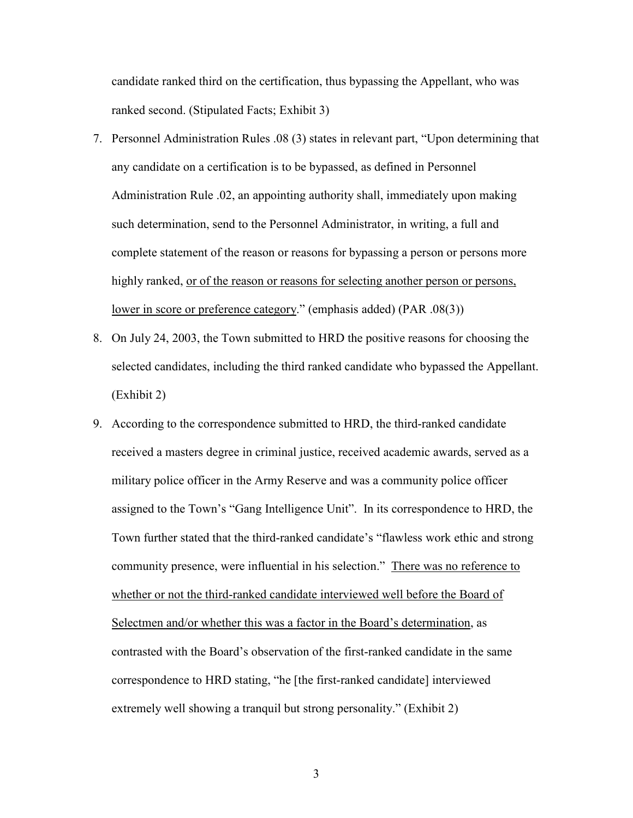candidate ranked third on the certification, thus bypassing the Appellant, who was ranked second. (Stipulated Facts; Exhibit 3)

- 7. Personnel Administration Rules .08 (3) states in relevant part, "Upon determining that any candidate on a certification is to be bypassed, as defined in Personnel Administration Rule .02, an appointing authority shall, immediately upon making such determination, send to the Personnel Administrator, in writing, a full and complete statement of the reason or reasons for bypassing a person or persons more highly ranked, <u>or of the reason or reasons</u> for selecting another person or persons, lower in score or preference category." (emphasis added) (PAR .08(3))
- 8. On July 24, 2003, the Town submitted to HRD the positive reasons for choosing the selected candidates, including the third ranked candidate who bypassed the Appellant. (Exhibit 2)
- 9. According to the correspondence submitted to HRD, the third-ranked candidate received a masters degree in criminal justice, received academic awards, served as a military police officer in the Army Reserve and was a community police officer assigned to the Town's "Gang Intelligence Unit". In its correspondence to HRD, the Town further stated that the third-ranked candidate's "flawless work ethic and strong community presence, were influential in his selection." There was no reference to whether or not the third-ranked candidate interviewed well before the Board of Selectmen and/or whether this was a factor in the Board's determination, as contrasted with the Board's observation of the first-ranked candidate in the same correspondence to HRD stating, "he [the first-ranked candidate] interviewed extremely well showing a tranquil but strong personality." (Exhibit 2)

3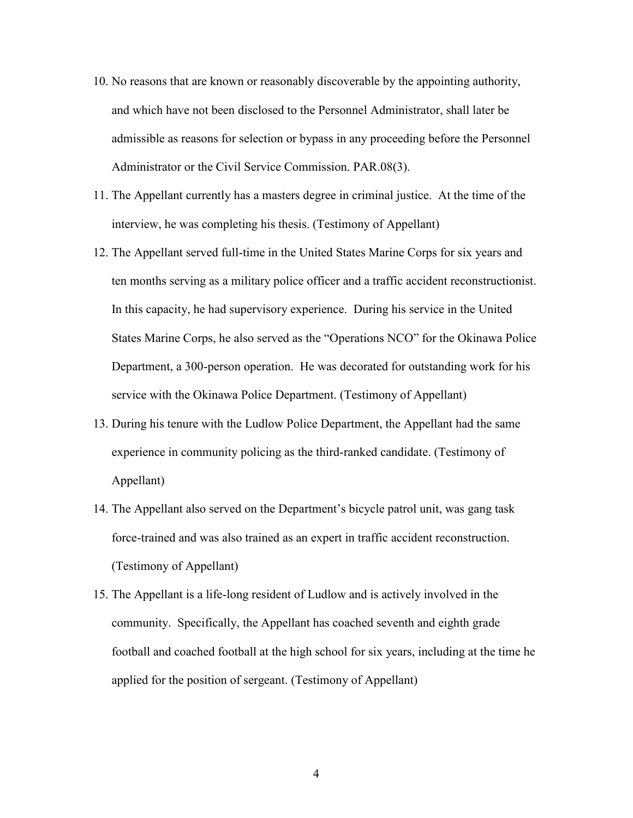- 10. No reasons that are known or reasonably discoverable by the appointing authority, and which have not been disclosed to the Personnel Administrator, shall later be admissible as reasons for selection or bypass in any proceeding before the Personnel Administrator or the Civil Service Commission. PAR.08(3).
- 11. The Appellant currently has a masters degree in criminal justice. At the time of the interview, he was completing his thesis. (Testimony of Appellant)
- 12. The Appellant served full-time in the United States Marine Corps for six years and ten months serving as a military police officer and a traffic accident reconstructionist. In this capacity, he had supervisory experience. During his service in the United States Marine Corps, he also served as the "Operations NCO" for the Okinawa Police Department, a 300-person operation. He was decorated for outstanding work for his service with the Okinawa Police Department. (Testimony of Appellant)
- 13. During his tenure with the Ludlow Police Department, the Appellant had the same experience in community policing as the third-ranked candidate. (Testimony of Appellant)
- 14. The Appellant also served on the Department's bicycle patrol unit, was gang task force-trained and was also trained as an expert in traffic accident reconstruction. (Testimony of Appellant)
- 15. The Appellant is a life-long resident of Ludlow and is actively involved in the community. Specifically, the Appellant has coached seventh and eighth grade football and coached football at the high school for six years, including at the time he applied for the position of sergeant. (Testimony of Appellant)

4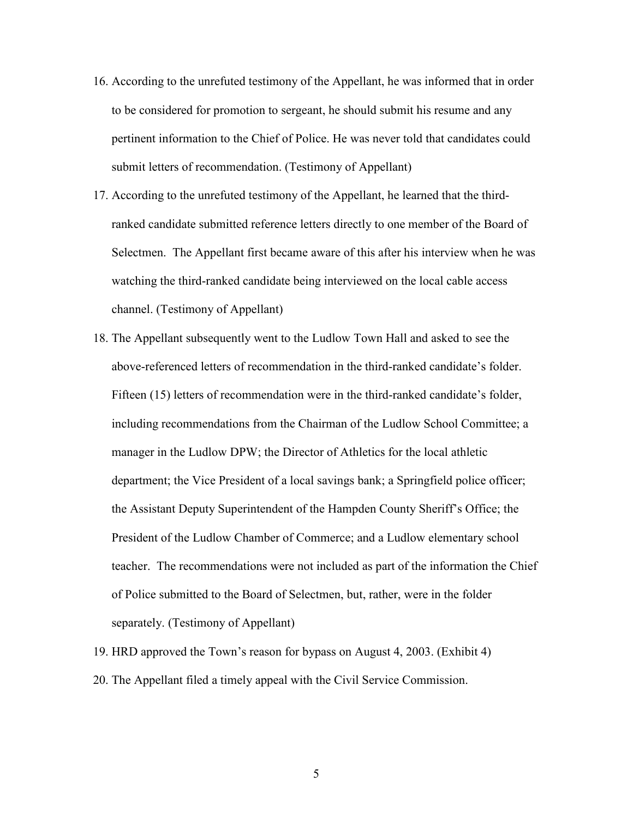- 16. According to the unrefuted testimony of the Appellant, he was informed that in order to be considered for promotion to sergeant, he should submit his resume and any pertinent information to the Chief of Police. He was never told that candidates could submit letters of recommendation. (Testimony of Appellant)
- 17. According to the unrefuted testimony of the Appellant, he learned that the thirdranked candidate submitted reference letters directly to one member of the Board of Selectmen. The Appellant first became aware of this after his interview when he was watching the third-ranked candidate being interviewed on the local cable access channel. (Testimony of Appellant)
- 18. The Appellant subsequently went to the Ludlow Town Hall and asked to see the above-referenced letters of recommendation in the third-ranked candidate's folder. Fifteen (15) letters of recommendation were in the third-ranked candidate's folder, including recommendations from the Chairman of the Ludlow School Committee; a manager in the Ludlow DPW; the Director of Athletics for the local athletic department; the Vice President of a local savings bank; a Springfield police officer; the Assistant Deputy Superintendent of the Hampden County Sheriff's Office; the President of the Ludlow Chamber of Commerce; and a Ludlow elementary school teacher. The recommendations were not included as part of the information the Chief of Police submitted to the Board of Selectmen, but, rather, were in the folder separately. (Testimony of Appellant)
- 19. HRD approved the Town's reason for bypass on August 4, 2003. (Exhibit 4)
- 20. The Appellant filed a timely appeal with the Civil Service Commission.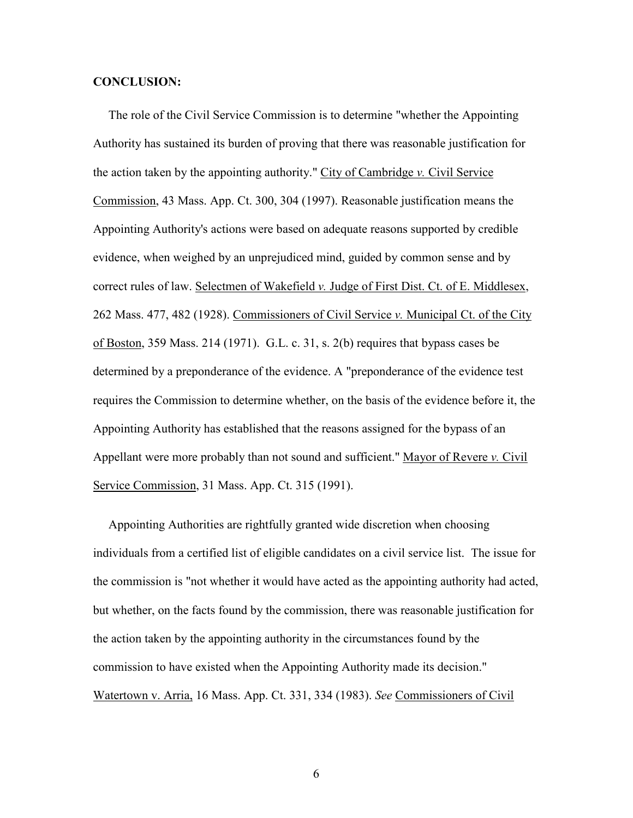#### CONCLUSION:

 The role of the Civil Service Commission is to determine "whether the Appointing Authority has sustained its burden of proving that there was reasonable justification for the action taken by the appointing authority." City of Cambridge v. Civil Service Commission, 43 Mass. App. Ct. 300, 304 (1997). Reasonable justification means the Appointing Authority's actions were based on adequate reasons supported by credible evidence, when weighed by an unprejudiced mind, guided by common sense and by correct rules of law. Selectmen of Wakefield  $\nu$ . Judge of First Dist. Ct. of E. Middlesex, 262 Mass. 477, 482 (1928). Commissioners of Civil Service v. Municipal Ct. of the City of Boston, 359 Mass. 214 (1971). G.L. c. 31, s. 2(b) requires that bypass cases be determined by a preponderance of the evidence. A "preponderance of the evidence test requires the Commission to determine whether, on the basis of the evidence before it, the Appointing Authority has established that the reasons assigned for the bypass of an Appellant were more probably than not sound and sufficient." Mayor of Revere v. Civil Service Commission, 31 Mass. App. Ct. 315 (1991).

 Appointing Authorities are rightfully granted wide discretion when choosing individuals from a certified list of eligible candidates on a civil service list. The issue for the commission is "not whether it would have acted as the appointing authority had acted, but whether, on the facts found by the commission, there was reasonable justification for the action taken by the appointing authority in the circumstances found by the commission to have existed when the Appointing Authority made its decision." Watertown v. Arria, 16 Mass. App. Ct. 331, 334 (1983). See Commissioners of Civil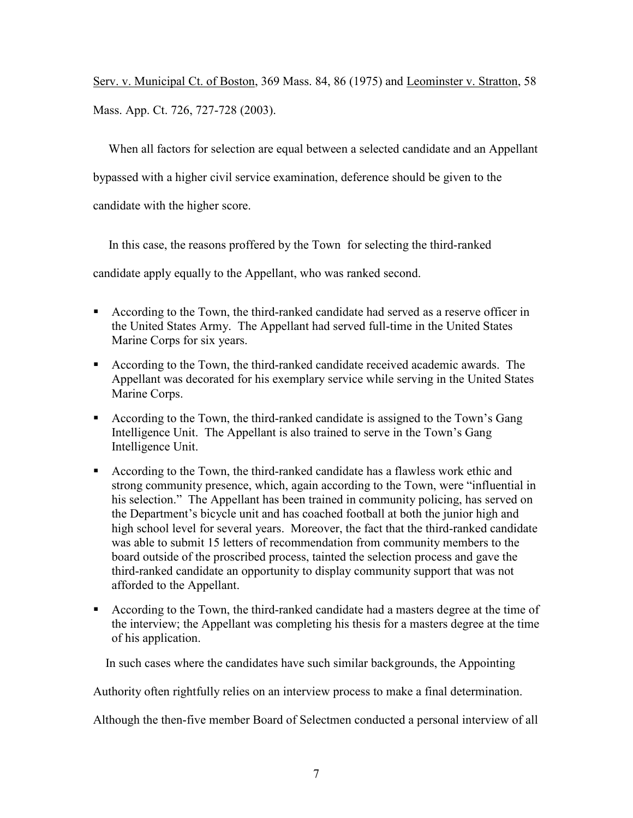Serv. v. Municipal Ct. of Boston, 369 Mass. 84, 86 (1975) and Leominster v. Stratton, 58 Mass. App. Ct. 726, 727-728 (2003).

 When all factors for selection are equal between a selected candidate and an Appellant bypassed with a higher civil service examination, deference should be given to the candidate with the higher score.

In this case, the reasons proffered by the Town for selecting the third-ranked

candidate apply equally to the Appellant, who was ranked second.

- According to the Town, the third-ranked candidate had served as a reserve officer in the United States Army. The Appellant had served full-time in the United States Marine Corps for six years.
- According to the Town, the third-ranked candidate received academic awards. The Appellant was decorated for his exemplary service while serving in the United States Marine Corps.
- According to the Town, the third-ranked candidate is assigned to the Town's Gang Intelligence Unit. The Appellant is also trained to serve in the Town's Gang Intelligence Unit.
- According to the Town, the third-ranked candidate has a flawless work ethic and strong community presence, which, again according to the Town, were "influential in his selection." The Appellant has been trained in community policing, has served on the Department's bicycle unit and has coached football at both the junior high and high school level for several years. Moreover, the fact that the third-ranked candidate was able to submit 15 letters of recommendation from community members to the board outside of the proscribed process, tainted the selection process and gave the third-ranked candidate an opportunity to display community support that was not afforded to the Appellant.
- According to the Town, the third-ranked candidate had a masters degree at the time of the interview; the Appellant was completing his thesis for a masters degree at the time of his application.

In such cases where the candidates have such similar backgrounds, the Appointing

Authority often rightfully relies on an interview process to make a final determination.

Although the then-five member Board of Selectmen conducted a personal interview of all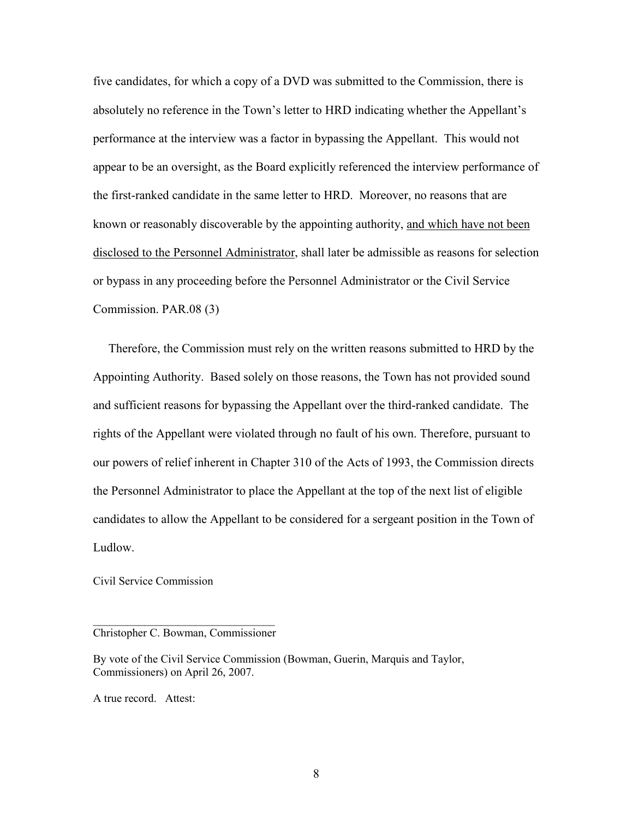five candidates, for which a copy of a DVD was submitted to the Commission, there is absolutely no reference in the Town's letter to HRD indicating whether the Appellant's performance at the interview was a factor in bypassing the Appellant. This would not appear to be an oversight, as the Board explicitly referenced the interview performance of the first-ranked candidate in the same letter to HRD. Moreover, no reasons that are known or reasonably discoverable by the appointing authority, and which have not been disclosed to the Personnel Administrator, shall later be admissible as reasons for selection or bypass in any proceeding before the Personnel Administrator or the Civil Service Commission. PAR.08 (3)

 Therefore, the Commission must rely on the written reasons submitted to HRD by the Appointing Authority. Based solely on those reasons, the Town has not provided sound and sufficient reasons for bypassing the Appellant over the third-ranked candidate. The rights of the Appellant were violated through no fault of his own. Therefore, pursuant to our powers of relief inherent in Chapter 310 of the Acts of 1993, the Commission directs the Personnel Administrator to place the Appellant at the top of the next list of eligible candidates to allow the Appellant to be considered for a sergeant position in the Town of Ludlow.

Civil Service Commission

A true record. Attest:

 $\mathcal{L}_\text{max}$  , where  $\mathcal{L}_\text{max}$  and  $\mathcal{L}_\text{max}$ Christopher C. Bowman, Commissioner

By vote of the Civil Service Commission (Bowman, Guerin, Marquis and Taylor, Commissioners) on April 26, 2007.